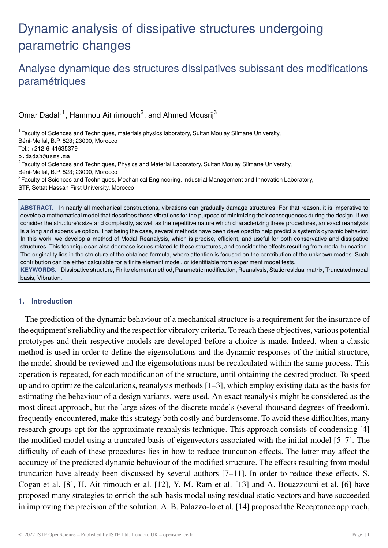# Dynamic analysis of dissipative structures undergoing parametric changes

# Analyse dynamique des structures dissipatives subissant des modifications paramétriques

Omar Dadah<sup>1</sup>, Hammou Ait rimouch<sup>2</sup>, and Ahmed Mousrij<sup>3</sup>

1Faculty of Sciences and Techniques, materials physics laboratory, Sultan Moulay Slimane University, Béni-Mellal, B.P. 523; 23000, Morocco Tel.: +212-6-41635379 o.dadah@usms.ma <sup>2</sup>Faculty of Sciences and Techniques, Physics and Material Laboratory, Sultan Moulay Slimane University, Béni-Mellal, B.P. 523; 23000, Morocco 3Faculty of Sciences and Techniques, Mechanical Engineering, Industrial Management and Innovation Laboratory, STF, Settat Hassan First University, Morocco **ABSTRACT.** In nearly all mechanical constructions, vibrations can gradually damage structures. For that reason, it is imperative to develop a mathematical model that describes these vibrations for the purpose of minimizing their consequences during the design. If we

consider the structure's size and complexity, as well as the repetitive nature which characterizing these procedures, an exact reanalysis is a long and expensive option. That being the case, several methods have been developed to help predict a system's dynamic behavior. In this work, we develop a method of Modal Reanalysis, which is precise, efficient, and useful for both conservative and dissipative structures. This technique can also decrease issues related to these structures, and consider the effects resulting from modal truncation. The originality lies in the structure of the obtained formula, where attention is focused on the contribution of the unknown modes. Such contribution can be either calculable for a finite element model, or identifiable from experiment model tests.

**KEYWORDS.** Dissipative structure, Finite element method, Parametric modification, Reanalysis, Static residual matrix, Truncated modal basis, Vibration.

# **1. Introduction**

The prediction of the dynamic behaviour of a mechanical structure is a requirement for the insurance of the equipment's reliability and the respect for vibratory criteria. To reach these objectives, various potential prototypes and their respective models are developed before a choice is made. Indeed, when a classic method is used in order to define the eigensolutions and the dynamic responses of the initial structure, the model should be reviewed and the eigensolutions must be recalculated within the same process. This operation is repeated, for each modification of the structure, until obtaining the desired product. To speed up and to optimize the calculations, reanalysis methods [1–3], which employ existing data as the basis for estimating the behaviour of a design variants, were used. An exact reanalysis might be considered as the most direct approach, but the large sizes of the discrete models (several thousand degrees of freedom), frequently encountered, make this strategy both costly and burdensome. To avoid these difficulties, many research groups opt for the approximate reanalysis technique. This approach consists of condensing [4] the modified model using a truncated basis of eigenvectors associated with the initial model [5–7]. The difficulty of each of these procedures lies in how to reduce truncation effects. The latter may affect the accuracy of the predicted dynamic behaviour of the modified structure. The effects resulting from modal truncation have already been discussed by several authors [7–11]. In order to reduce these effects, S. Cogan et al. [8], H. Ait rimouch et al. [12], Y. M. Ram et al. [13] and A. Bouazzouni et al. [6] have proposed many strategies to enrich the sub-basis modal using residual static vectors and have succeeded in improving the precision of the solution. A. B. Palazzo-lo et al. [14] proposed the Receptance approach,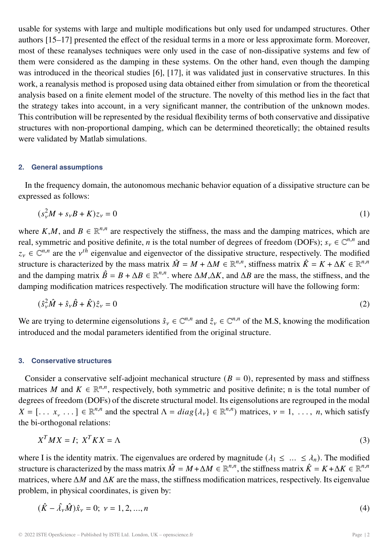usable for systems with large and multiple modifications but only used for undamped structures. Other authors [15–17] presented the effect of the residual terms in a more or less approximate form. Moreover, most of these reanalyses techniques were only used in the case of non-dissipative systems and few of them were considered as the damping in these systems. On the other hand, even though the damping was introduced in the theorical studies [6], [17], it was validated just in conservative structures. In this work, a reanalysis method is proposed using data obtained either from simulation or from the theoretical analysis based on a finite element model of the structure. The novelty of this method lies in the fact that the strategy takes into account, in a very significant manner, the contribution of the unknown modes. This contribution will be represented by the residual flexibility terms of both conservative and dissipative structures with non-proportional damping, which can be determined theoretically; the obtained results were validated by Matlab simulations.

# **2. General assumptions**

In the frequency domain, the autonomous mechanic behavior equation of a dissipative structure can be expressed as follows:

$$
(s_v^2 M + s_v B + K)z_v = 0
$$
 (1)

where K,M, and  $B \in \mathbb{R}^{n,n}$  are respectively the stiffness, the mass and the damping matrices, which are real, symmetric and positive definite, *n* is the total number of degrees of freedom (DOFs);  $s_v \in \mathbb{C}^{n,n}$  and  $z_v \in \mathbb{C}^{n,n}$  are the  $v^{th}$  eigenvalue and eigenvector of the dissipative structure, respectively. The modified structure is characterized by the mass matrix  $\hat{M} = M + \Delta M \in \mathbb{R}^{n,n}$ , stiffness matrix  $\hat{K} = K + \Delta K \in \mathbb{R}^{n,n}$ and the damping matrix  $\hat{B} = B + \Delta B \in \mathbb{R}^{n,n}$ , where  $\Delta M, \Delta K$ , and  $\Delta B$  are the mass, the stiffness, and the damping modification matrices respectively. The modification structure will have the following form:

$$
(\hat{s}_{\nu}^2 \hat{M} + \hat{s}_{\nu} \hat{B} + \hat{K})\hat{z}_{\nu} = 0
$$
\n<sup>(2)</sup>

We are trying to determine eigensolutions  $\hat{s}_v \in \mathbb{C}^{n,n}$  and  $\hat{z}_v \in \mathbb{C}^{n,n}$  of the M.S, knowing the modification introduced and the modal parameters identified from the original structure.

# **3. Conservative structures**

Consider a conservative self-adjoint mechanical structure  $(B = 0)$ , represented by mass and stiffness matrices M and  $K \in \mathbb{R}^{n,n}$ , respectively, both symmetric and positive definite; n is the total number of degrees of freedom (DOFs) of the discrete structural model. Its eigensolutions are regrouped in the modal  $X = [\dots, x, \dots] \in \mathbb{R}^{n,n}$  and the spectral  $\Lambda = diag\{\lambda_{\nu}\}\in \mathbb{R}^{n,n}$  matrices,  $\nu = 1, \dots, n$ , which satisfy the bi-orthogonal relations:

$$
X^T M X = I; X^T K X = \Lambda
$$
\n(3)

where I is the identity matrix. The eigenvalues are ordered by magnitude  $(\lambda_1 \leq \ldots \leq \lambda_n)$ . The modified structure is characterized by the mass matrix  $\hat{M} = M + \Delta M \in \mathbb{R}^{n,n}$ , the stiffness matrix  $\hat{K} = K + \Delta K \in \mathbb{R}^{n,n}$ matrices, where  $\Delta M$  and  $\Delta K$  are the mass, the stiffness modification matrices, respectively. Its eigenvalue problem, in physical coordinates, is given by:

$$
(\hat{K} - \hat{\lambda}_{\nu}\hat{M})\hat{x}_{\nu} = 0; \ \nu = 1, 2, ..., n
$$
\n(4)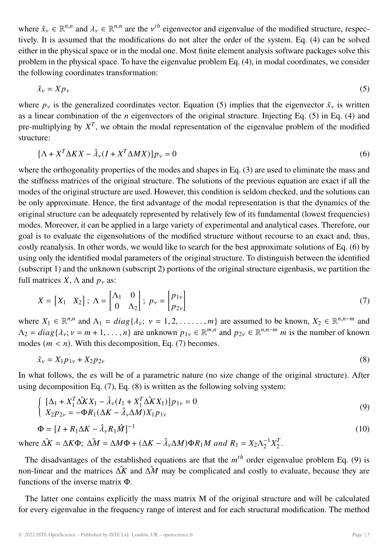where  $\hat{x}_v \in \mathbb{R}^{n,n}$  and  $\lambda_v \in \mathbb{R}^{n,n}$  are the  $v^{th}$  eigenvector and eigenvalue of the modified structure, respectively. It is assumed that the modifications do not alter the order of the system. Eq. (4) can be solved either in the physical space or in the modal one. Most finite element analysis software packages solve this problem in the physical space. To have the eigenvalue problem Eq. (4), in modal coordinates, we consider the following coordinates transformation:

$$
\hat{x}_v = X p_v \tag{5}
$$

where  $p_v$  is the generalized coordinates vector. Equation (5) implies that the eigenvector  $\hat{x}_v$  is written as a linear combination of the *n* eigenvectors of the original structure. Injecting Eq. (5) in Eq. (4) and pre-multiplying by  $X^T$ , we obtain the modal representation of the eigenvalue problem of the modified structure:

$$
[\Lambda + X^T \Delta K X - \hat{\lambda}_V (I + X^T \Delta M X)] p_V = 0
$$
\n(6)

where the orthogonality properties of the modes and shapes in Eq. (3) are used to eliminate the mass and the stiffness matrices of the original structure. The solutions of the previous equation are exact if all the modes of the original structure are used. However, this condition is seldom checked, and the solutions can be only approximate. Hence, the first advantage of the modal representation is that the dynamics of the original structure can be adequately represented by relatively few of its fundamental (lowest frequencies) modes. Moreover, it can be applied in a large variety of experimental and analytical cases. Therefore, our goal is to evaluate the eigensolutions of the modified structure without recourse to an exact and, thus, costly reanalysis. In other words, we would like to search for the best approximate solutions of Eq. (6) by using only the identified modal parameters of the original structure. To distinguish between the identified (subscript 1) and the unknown (subscript 2) portions of the original structure eigenbasis, we partition the full matrices X,  $\Lambda$  and  $p_{v}$  as:

$$
X = \begin{bmatrix} X_1 & X_2 \end{bmatrix}; \ \Lambda = \begin{bmatrix} \Lambda_1 & 0 \\ 0 & \Lambda_2 \end{bmatrix}; \ p_{\nu} = \begin{bmatrix} p_{1\nu} \\ p_{2\nu} \end{bmatrix}
$$
 (7)

where  $X_1 \in \mathbb{R}^{n,n}$  and  $\Lambda_1 = diag\{\lambda_v; v = 1, 2, \ldots, m\}$  are assumed to be known,  $X_2 \in \mathbb{R}^{n,n-m}$  and  $\Lambda_2 = diag\{\lambda_v; v = m+1,\ldots,n\}$  are unknown  $p_{1v} \in \mathbb{R}^{m,n}$  and  $p_{2v} \in \mathbb{R}^{n,n-m}$  *m* is the number of known modes  $(m < n)$ . With this decomposition, Eq. (7) becomes.

$$
\hat{x}_{\nu} = X_1 p_{1\nu} + X_2 p_{2\nu} \tag{8}
$$

In what follows, the es will be of a parametric nature (no size change of the original structure). After using decomposition Eq. (7), Eq. (8) is written as the following solving system:

$$
\begin{cases} [\Delta_1 + X_1^T \Delta \hat{K} X_1 - \hat{\lambda}_\nu (I_1 + X_1^T \Delta \hat{K} X_1)] p_{1\nu} = 0 \\ X_2 p_{2\nu} = -\Phi R_1 (\Delta K - \hat{\lambda}_\nu \Delta M) X_1 p_{1\nu} \end{cases}
$$
(9)

$$
\Phi = \left[I + R_1 \Delta K - \hat{\lambda}_\nu R_1 \hat{M}\right]^{-1} \tag{10}
$$

where  $\Delta \hat{K} = \Delta K \Phi$ ;  $\Delta \hat{M} = \Delta M \Phi + (\Delta K - \hat{\lambda}_v \Delta M) \Phi R_1 M$  and  $R_1 = X_2 \Lambda_2^{-1} X_2^T$ .

The disadvantages of the established equations are that the  $m^{th}$  order eigenvalue problem Eq. (9) is non-linear and the matrices  $\Delta \hat{X}$  and  $\Delta \hat{M}$  may be complicated and costly to evaluate, because they are functions of the inverse matrix Φ.

The latter one contains explicitly the mass matrix M of the original structure and will be calculated for every eigenvalue in the frequency range of interest and for each structural modification. The method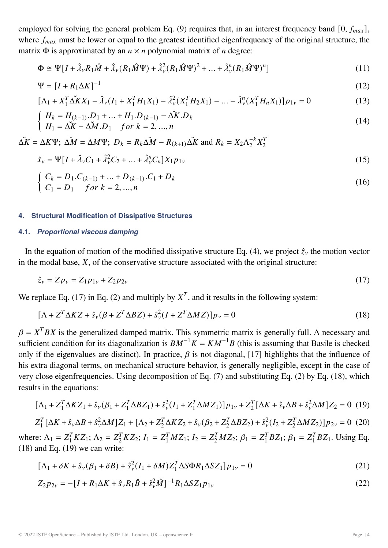employed for solving the general problem Eq. (9) requires that, in an interest frequency band [0,  $f_{max}$ ], where  $f_{max}$  must be lower or equal to the greatest identified eigenfrequency of the original structure, the matrix  $\Phi$  is approximated by an  $n \times n$  polynomial matrix of *n* degree:

$$
\Phi \cong \Psi[I + \hat{\lambda}_{\nu}R_{1}\hat{M} + \hat{\lambda}_{\nu}(R_{1}\hat{M}\Psi) + \hat{\lambda}_{\nu}^{2}(R_{1}\hat{M}\Psi)^{2} + ... + \hat{\lambda}_{\nu}^{n}(R_{1}\hat{M}\Psi)^{n}]
$$
\n(11)

$$
\Psi = \left[I + R_1 \Delta K\right]^{-1} \tag{12}
$$

$$
[\Lambda_1 + X_1^T \Delta K X_1 - \hat{\lambda}_\nu (I_1 + X_1^T H_1 X_1) - \hat{\lambda}_\nu^2 (X_1^T H_2 X_1) - \dots - \hat{\lambda}_\nu^n (X_1^T H_n X_1)] p_{1\nu} = 0 \tag{13}
$$

$$
\begin{cases}\nH_k = H_{(k-1)} \cdot D_1 + \dots + H_1 \cdot D_{(k-1)} - \Delta K \cdot D_k \\
H_1 = \Delta K - \Delta M \cdot D_1 \quad \text{for } k = 2, \dots, n\n\end{cases} (14)
$$

$$
\Delta K = \Delta K \Psi
$$
;  $\Delta M = \Delta M \Psi$ ;  $D_k = R_k \Delta M - R_{(k+1)} \Delta K$  and  $R_k = X_2 \Lambda_2^{-k} X_2^{T}$ 

$$
\hat{x}_{\nu} = \Psi[I + \hat{\lambda}_{\nu}C_1 + \hat{\lambda}_{\nu}^2C_2 + ... + \hat{\lambda}_{\nu}^nC_n]X_1p_{1\nu}
$$
\n(15)

$$
\begin{cases}\nC_k = D_1.C_{(k-1)} + ... + D_{(k-1)}.C_1 + D_k \\
C_1 = D_1 \quad \text{for } k = 2, ..., n\n\end{cases}
$$
\n(16)

#### **4. Structural Modification of Dissipative Structures**

# **4.1.** *Proportional viscous damping*

In the equation of motion of the modified dissipative structure Eq. (4), we project  $\hat{z}_v$  the motion vector in the modal base,  $X$ , of the conservative structure associated with the original structure:

$$
\hat{z}_v = Z p_v = Z_1 p_{1v} + Z_2 p_{2v} \tag{17}
$$

We replace Eq. (17) in Eq. (2) and multiply by  $X^T$ , and it results in the following system:

$$
[\Lambda + Z^T \Delta K Z + \hat{s}_{\nu} (\beta + Z^T \Delta B Z) + \hat{s}_{\nu}^2 (I + Z^T \Delta M Z)] p_{\nu} = 0
$$
\n(18)

 $\beta = X^T B X$  is the generalized damped matrix. This symmetric matrix is generally full. A necessary and sufficient condition for its diagonalization is  $BM^{-1}K = KM^{-1}B$  (this is assuming that Basile is checked only if the eigenvalues are distinct). In practice,  $\beta$  is not diagonal, [17] highlights that the influence of his extra diagonal terms, on mechanical structure behavior, is generally negligible, except in the case of very close eigenfrequencies. Using decomposition of Eq. (7) and substituting Eq. (2) by Eq. (18), which results in the equations:

$$
[\Lambda_1 + Z_1^T \Delta K Z_1 + \hat{s}_{\nu}(\beta_1 + Z_1^T \Delta B Z_1) + \hat{s}_{\nu}^2 (I_1 + Z_1^T \Delta M Z_1)] p_{1\nu} + Z_2^T [\Delta K + \hat{s}_{\nu} \Delta B + \hat{s}_{\nu}^2 \Delta M] Z_2 = 0 \tag{19}
$$
  

$$
Z_1^T [\Delta K + \hat{s}_{\nu} \Delta B + \hat{s}_{\nu}^2 \Delta M] Z_1 + [\Lambda_2 + Z_2^T \Delta K Z_2 + \hat{s}_{\nu}(\beta_2 + Z_2^T \Delta B Z_2) + \hat{s}_{\nu}^2 (I_2 + Z_2^T \Delta M Z_2)] p_{2\nu} = 0 \tag{20}
$$

where:  $\Lambda_1 = Z_1^T K Z_1$ ;  $\Lambda_2 = Z_2^T K Z_2$ ;  $I_1 = Z_1^T M Z_1$ ;  $I_2 = Z_2^T M Z_2$ ;  $\beta_1 = Z_1^T B Z_1$ ;  $\beta_1 = Z_1^T B Z_1$ . Using Eq.  $(18)$  and Eq.  $(19)$  we can write:

$$
[\Lambda_1 + \delta K + \hat{s}_{\nu}(\beta_1 + \delta B) + \hat{s}_{\nu}^2(I_1 + \delta M)Z_1^T \Delta S \Phi R_1 \Delta S Z_1] p_{1\nu} = 0
$$
\n(21)

$$
Z_2 p_{2\nu} = -[I + R_1 \Delta K + \hat{s}_{\nu} R_1 \hat{B} + \hat{s}_{\nu}^2 \hat{M}]^{-1} R_1 \Delta S Z_1 p_{1\nu}
$$
\n(22)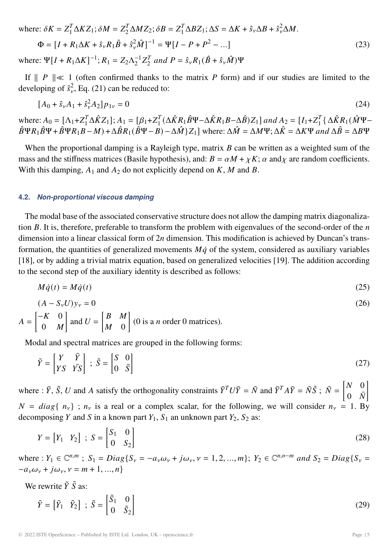where: 
$$
\delta K = Z_1^T \Delta K Z_1; \delta M = Z_2^T \Delta M Z_2; \delta B = Z_1^T \Delta B Z_1; \Delta S = \Delta K + \hat{s}_\nu \Delta B + \hat{s}_\nu^2 \Delta M.
$$

$$
\Phi = [I + R_1 \Delta K + \hat{s}_\nu R_1 \hat{B} + \hat{s}_\nu^2 \hat{M}]^{-1} = \Psi [I - P + P^2 - \dots]
$$

$$
\text{where: } \Psi [I + R_1 \Delta K]^{-1}; R_1 = Z_2 \Lambda_2^{-1} Z_2^T \text{ and } P = \hat{s}_\nu R_1 (\hat{B} + \hat{s}_\nu \hat{M}) \Psi
$$
\n
$$
(23)
$$

If  $\| P \| \ll 1$  (often confirmed thanks to the matrix P form) and if our studies are limited to the developing of  $\hat{s}^2_{\nu}$ , Eq. (21) can be reduced to:

$$
[A_0 + \hat{s}_\nu A_1 + \hat{s}_\nu^2 A_2] p_{1\nu} = 0 \tag{24}
$$

where:  $A_0 = [\Lambda_1 + Z_1^T \Delta \hat{K} Z_1]$ ;  $A_1 = [\beta_1 + Z_1^T (\Delta \hat{K} R_1 \hat{B} \Psi - \Delta \hat{K} R_1 B - \Delta \hat{B}) Z_1]$  and  $A_2 = [I_1 + Z_1^T (\Delta \hat{K} R_1 (\hat{M} \Psi - \Delta \hat{K} B_1 B - \Delta \hat{B}) Z_1]$  $\hat{B}\Psi R_1\hat{B}\Psi+\hat{B}\Psi R_1B-M)+\Delta\hat{B}R_1(\hat{B}\Psi-B)-\Delta\hat{M} \{Z_1\}$  where:  $\Delta\hat{M}=\Delta M\Psi; \Delta\hat{K}=\Delta K\Psi$  and  $\Delta\hat{B}=\Delta B\Psi$ 

When the proportional damping is a Rayleigh type, matrix  $B$  can be written as a weighted sum of the mass and the stiffness matrices (Basile hypothesis), and:  $B = \alpha M + \chi K$ ;  $\alpha$  and  $\chi$  are random coefficients. With this damping,  $A_1$  and  $A_2$  do not explicitly depend on K, M and B.

#### **4.2.** *Non-proportional viscous damping*

The modal base of the associated conservative structure does not allow the damping matrix diagonalization  $B$ . It is, therefore, preferable to transform the problem with eigenvalues of the second-order of the  $n$ dimension into a linear classical form of  $2n$  dimension. This modification is achieved by Duncan's transformation, the quantities of generalized movements  $M\dot{q}$  of the system, considered as auxiliary variables [18], or by adding a trivial matrix equation, based on generalized velocities [19]. The addition according to the second step of the auxiliary identity is described as follows:

$$
M\dot{q}(t) = M\dot{q}(t) \tag{25}
$$

$$
(A - S_{\nu}U)y_{\nu} = 0 \tag{26}
$$

$$
A = \begin{bmatrix} -K & 0 \\ 0 & M \end{bmatrix}
$$
 and  $U = \begin{bmatrix} B & M \\ M & 0 \end{bmatrix}$  (0 is a *n* order 0 matrices).

Modal and spectral matrices are grouped in the following forms:

$$
\tilde{Y} = \begin{bmatrix} Y & \bar{Y} \\ YS & \bar{Y}S \end{bmatrix} \; ; \; \tilde{S} = \begin{bmatrix} S & 0 \\ 0 & \bar{S} \end{bmatrix} \tag{27}
$$

where :  $\tilde{Y}$ ,  $\tilde{S}$ ,  $U$  and  $A$  satisfy the orthogonality constraints  $\tilde{Y}^T U \tilde{Y} = \tilde{N}$  and  $\tilde{Y}^T A \tilde{Y} = \tilde{N} \tilde{S}$ ;  $\tilde{N} = \begin{bmatrix} N & 0 \\ 0 & \bar{N} \end{bmatrix}$  $0 \quad \bar{N}$ 1  $N = diag\{n_v\}$ ;  $n_v$  is a real or a complex scalar, for the following, we will consider  $n_v = 1$ . By decomposing Y and S in a known part  $Y_1$ ,  $S_1$  an unknown part  $Y_2$ ,  $S_2$  as:

$$
Y = \begin{bmatrix} Y_1 & Y_2 \end{bmatrix} ; S = \begin{bmatrix} S_1 & 0 \\ 0 & S_2 \end{bmatrix}
$$
 (28)

where :  $Y_1 \in \mathbb{C}^{n,m}$ ;  $S_1 = Diag\{S_v = -a_v\omega_v + j\omega_v, v = 1, 2, ..., m\}$ ;  $Y_2 \in \mathbb{C}^{n,n-m}$  and  $S_2 = Diag\{S_v = -a_v\omega_v + j\omega_v, v = 1, 2, ..., m\}$  $-a_v \omega_v + i \omega_v, v = m + 1, ..., n$ 

We rewrite  $\tilde{Y} \tilde{S}$  as:

$$
\tilde{Y} = \begin{bmatrix} \tilde{Y}_1 & \tilde{Y}_2 \end{bmatrix} ; \ \tilde{S} = \begin{bmatrix} \tilde{S}_1 & 0 \\ 0 & \tilde{S}_2 \end{bmatrix}
$$
\n(29)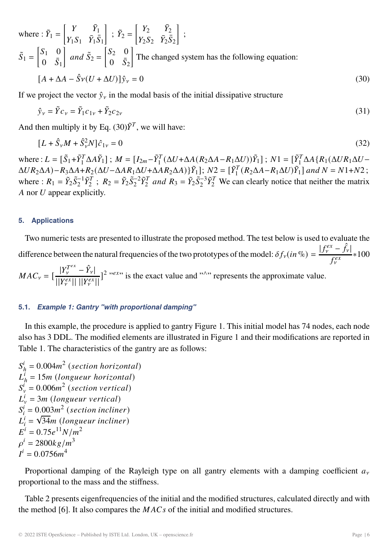where: 
$$
\tilde{Y}_1 = \begin{bmatrix} Y & \bar{Y}_1 \\ Y_1 S_1 & \bar{Y}_1 \bar{S}_1 \end{bmatrix}
$$
;  $\tilde{Y}_2 = \begin{bmatrix} Y_2 & \bar{Y}_2 \\ Y_2 S_2 & \bar{Y}_2 \bar{S}_2 \end{bmatrix}$ ;  
\n $\tilde{S}_1 = \begin{bmatrix} S_1 & 0 \\ 0 & \bar{S}_1 \end{bmatrix}$  and  $\tilde{S}_2 = \begin{bmatrix} S_2 & 0 \\ 0 & \bar{S}_2 \end{bmatrix}$  The changed system has the following equation:  
\n $[A + \Delta A - \hat{S}v(U + \Delta U)]\hat{y}_v = 0$  (30)

If we project the vector  $\hat{y}_v$  in the modal basis of the initial dissipative structure

$$
\hat{y}_{\nu} = \tilde{Y}c_{\nu} = \tilde{Y}_1c_{1\nu} + \tilde{Y}_2c_{2\nu}
$$
\n(31)

And then multiply it by Eq.  $(30)\tilde{Y}^T$ , we will have:

$$
[L + \hat{S}_{\nu}M + \hat{S}_{\nu}^{2}N]\hat{c}_{1\nu} = 0
$$
\n(32)

where :  $L = [\tilde{S}_1 + \tilde{Y}_1^T \Delta A \tilde{Y}_1]$ ;  $M = [I_{2m} - \tilde{Y}_1^T (\Delta U + \Delta A (R_2 \Delta A - R_1 \Delta U)) \tilde{Y}_1]$ ;  $N1 = [\tilde{Y}_1^T \Delta A \{R_1(\Delta U R_1 \Delta U - R_1 \Delta U)\} \Delta A]$  $\Delta UR_2\Delta A$ )− $R_3\Delta A$ + $R_2(\Delta U - \Delta AR_1\Delta U + \Delta AR_2\Delta A)$ } $\tilde{Y}_1$ ];  $N_2 = [\tilde{Y}_1^T(R_2\Delta A - R_1\Delta U)\tilde{Y}_1]$  and  $N = N1 + N2$ ; where :  $R_1 = \tilde{Y}_2 \tilde{S}_2^{-1} \tilde{Y}_2^T$ ;  $R_2 = \tilde{Y}_2 \tilde{S}_2^{-2} \tilde{Y}_2^T$  and  $R_3 = \tilde{Y}_2 \tilde{S}_2^{-3} \tilde{Y}_2^T$  We can clearly notice that neither the matrix A nor  $U$  appear explicitly.

#### **5. Applications**

Two numeric tests are presented to illustrate the proposed method. The test below is used to evaluate the difference between the natural frequencies of the two prototypes of the model:  $\delta f_v(in \%) = \frac{|f_v^{ex} - \hat{f}_v|}{\epsilon e^{x}}$  $f_\nu^{ex}$ ∗100

 <sup>=</sup> [ <sup>|</sup> <sup>−</sup> <sup>ˆ</sup> |  $\frac{|I_V|}{||Y_V^{ex}||} \frac{|I_V|}{||Y_V^{ex}||}$   $|^2$  " we is the exact value and "^" represents the approximate value.

#### **5.1.** *Example 1: Gantry "with proportional damping"*

In this example, the procedure is applied to gantry Figure 1. This initial model has 74 nodes, each node also has 3 DDL. The modified elements are illustrated in Figure 1 and their modifications are reported in Table 1. The characteristics of the gantry are as follows:

 $S_h^i = 0.004m^2$  (section horizontal)  $L_h^i = 15m$  (longueur horizontal)  $S_v^i = 0.006m^2$  (section vertical)  $L_v^i = 3m$  (longueur vertical)  $S_i^i = 0.003m^2$  (section incliner)  $L_i^i = \sqrt{34} m$  (longueur incliner)  $E^{i} = 0.75e^{11}N/m^{2}$  $\rho^{i} = 2800kg/m^{3}$  $I^i = 0.0756m^4$ 

Proportional damping of the Rayleigh type on all gantry elements with a damping coefficient  $a<sub>v</sub>$ proportional to the mass and the stiffness.

Table 2 presents eigenfrequencies of the initial and the modified structures, calculated directly and with the method [6]. It also compares the  $MACs$  of the initial and modified structures.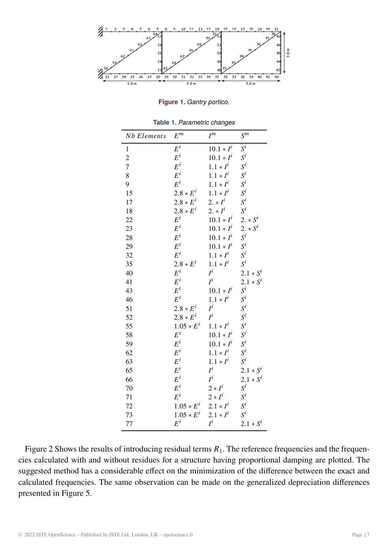

**Figure 1.** *Gantry portico.*

| <b>Nb</b> Elements | $E^m$           | $I^m$        | $S^m$              |
|--------------------|-----------------|--------------|--------------------|
| $\mathbf{1}$       | $E^i$           | $10.1 * I^i$ | $\boldsymbol{S}^i$ |
| $\overline{c}$     | $E^i$           | $10.1 * I^i$ | $S^i$              |
| $\overline{7}$     | $E^i$           | $1.1 * I^i$  | $S^i$              |
| 8                  | $E^i$           | $1.1 * I^i$  | $\mathcal{S}^i$    |
| 9                  | $E^i$           | $1.1 * I^i$  | $S^i$              |
| 15                 | $2.8 * E^{i}$   | $1.1 * I^i$  | $S^i$              |
| 17                 | $2.8 * E^i$     | 2. $*I^i$    | $S^i$              |
| 18                 | $2.8 * E^i$     | $2. * I^i$   | $S^i$              |
| 22                 | $E^i$           | $10.1 * I^i$ | 2. $* S^i$         |
| 23                 | $E^i$           | $10.1 * I^i$ | 2. $* S^i$         |
| 28                 | $E^i$           | $10.1 * I^i$ | $S^i$              |
| 29                 | $E^i$           | $10.1 * I^i$ | $S^i$              |
| 32                 | $E^i$           | $1.1 * I^i$  | $S^i$              |
| 35                 | $2.8 * E^i$     | $1.1 * I^i$  | $S^i$              |
| 40                 | $E^i$           | $I^i$        | $2.1 * S^i$        |
| 41                 | $E^i$           | $I^i$        | $2.1 * S^i$        |
| 43                 | $E^i$           | $10.1 * I^i$ | $S^i$              |
| 46                 | $E^i$           | $1.1 * I^i$  | $S^i$              |
| 51                 | $2.8 * E^i$     | $I^i$        | $\boldsymbol{S}^i$ |
| 52                 | $2.8 * E^i$     | $I^i$        | $S^i$              |
| 55                 | $1.05 * E^i$    | $1.1 * I^i$  | $S^i$              |
| 58                 | $E^i$           | $10.1*I^i$   | $S^i$              |
| 59                 | $E^i$           | $10.1 * I^i$ | $S^i$              |
| 62                 | $E^i$           | $1.1 * I^i$  | $S^i$              |
| 63                 | $E^i$           | $1.1 * I^i$  | $S^i$              |
| 65                 | $E^i$           | $I^i$        | $2.1 * S^i$        |
| 66                 | $E^i$           | $I^i$        | $2.1 * S^i$        |
| 70                 | $\mathcal{E}^i$ | $2 * I^i$    | $\mathcal{S}^i$    |
| 71                 | $E^i$           | $2 * I^i$    | $\mathcal{S}^i$    |
| 72                 | $1.05 * E^{i}$  | $2.1 * I^i$  | $S^i$              |
| 73                 | $1.05 * E^i$    | $2.1 * I^i$  | $S^i$              |
| 77                 | $E^i$           | $I^i$        | $2.1 * S^i$        |

**Table 1.** *Parametric changes*

Figure 2 Shows the results of introducing residual terms  $R_1$ . The reference frequencies and the frequencies calculated with and without residues for a structure having proportional damping are plotted. The suggested method has a considerable effect on the minimization of the difference between the exact and calculated frequencies. The same observation can be made on the generalized depreciation differences presented in Figure 5.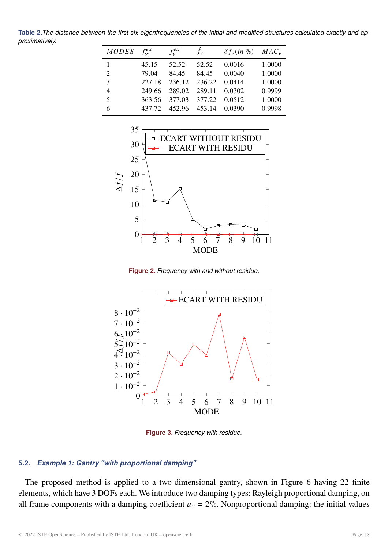**Table 2.***The distance between the first six eigenfrequencies of the initial and modified structures calculated exactly and approximatively.*

| <b>MODES</b> | $f_{\nu_0}^{ex}$ | $f_{\nu}^{ex}$ | $\hat{f}_{\nu}$ | $\delta f_v(in\%)$ $MAC_v$ |        |
|--------------|------------------|----------------|-----------------|----------------------------|--------|
| 1            | 45.15            | 52.52          | 52.52           | 0.0016                     | 1.0000 |
| 2            | 79.04            | 84.45          | 84.45           | 0.0040                     | 1.0000 |
| 3            | 227.18           | 236.12         | 236.22          | 0.0414                     | 1.0000 |
| 4            | 249.66           | 289.02         | 289.11          | 0.0302                     | 0.9999 |
| 5            | 363.56           | 377.03         | 377.22          | 0.0512                     | 1.0000 |
| 6            | 437 72           | 452.96         | 453.14          | 0.0390                     | 0.9998 |



**Figure 2.** *Frequency with and without residue.*



**Figure 3.** *Frequency with residue.*

# **5.2.** *Example 1: Gantry "with proportional damping"*

The proposed method is applied to a two-dimensional gantry, shown in Figure 6 having 22 finite elements, which have 3 DOFs each. We introduce two damping types: Rayleigh proportional damping, on all frame components with a damping coefficient  $a<sub>v</sub> = 2$ %. Nonproportional damping: the initial values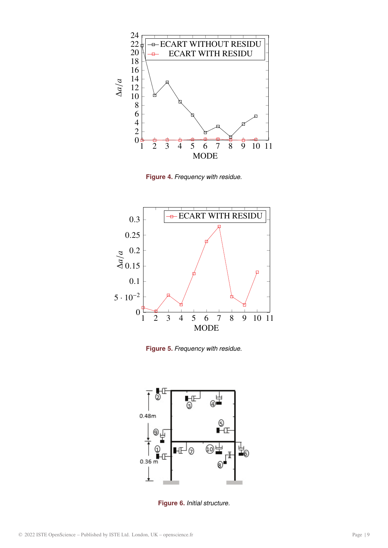

**Figure 4.** *Frequency with residue.*



**Figure 5.** *Frequency with residue.*



**Figure 6.** *Initial structure.*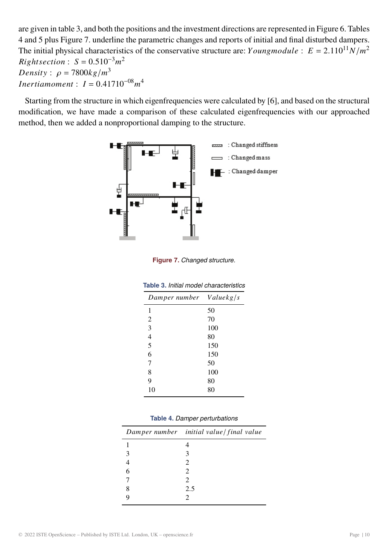are given in table 3, and both the positions and the investment directions are represented in Figure 6. Tables 4 and 5 plus Figure 7. underline the parametric changes and reports of initial and final disturbed dampers. The initial physical characteristics of the conservative structure are:  $Youngmodule: E = 2.110^{11} N/m^2$  $Right section: S = 0.510^{-3}m^2$ Density:  $\rho = 7800kg/m^3$ *Inertiamoment*:  $I = 0.41710^{-08} m^4$ 

Starting from the structure in which eigenfrequencies were calculated by [6], and based on the structural modification, we have made a comparison of these calculated eigenfrequencies with our approached method, then we added a nonproportional damping to the structure.



**Figure 7.** *Changed structure.*

| Damper number  | Valuekg/s |
|----------------|-----------|
| 1              | 50        |
| 2              | 70        |
| 3              | 100       |
| $\overline{4}$ | 80        |
| 5              | 150       |
| 6              | 150       |
| 7              | 50        |
| 8              | 100       |
| 9              | 80        |
| 10             | 80        |

**Table 3.** *Initial model characteristics*

|  |  | Table 4. Damper perturbations |
|--|--|-------------------------------|
|--|--|-------------------------------|

|               | Damper number initial value   final value |
|---------------|-------------------------------------------|
|               |                                           |
| $\mathcal{R}$ | 3                                         |
|               | $\mathcal{D}_{\cdot}$                     |
| 6             | 2                                         |
|               | 2                                         |
| 8             | 2.5                                       |
|               | 2                                         |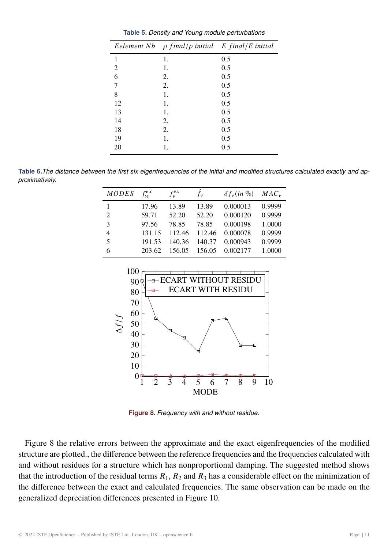|    | Eelement Nb $\rho$ final/ $\rho$ initial E final/E initial |     |
|----|------------------------------------------------------------|-----|
| 1  | 1.                                                         | 0.5 |
| 2  | 1.                                                         | 0.5 |
| 6  | 2.                                                         | 0.5 |
| 7  | 2.                                                         | 0.5 |
| 8  | 1.                                                         | 0.5 |
| 12 | 1.                                                         | 0.5 |
| 13 | 1.                                                         | 0.5 |
| 14 | 2.                                                         | 0.5 |
| 18 | 2.                                                         | 0.5 |
| 19 | 1.                                                         | 0.5 |
| 20 | 1.                                                         | 0.5 |

**Table 6.***The distance between the first six eigenfrequencies of the initial and modified structures calculated exactly and approximatively.*

| MODES | $f_{\nu_0}^{ex}$ | $f_{\nu}^{ex}$ | $\hat{f}_{\nu}$ | $\delta f_{\nu}$ (in %) | $MAC_v$ |
|-------|------------------|----------------|-----------------|-------------------------|---------|
|       | 17.96            | 13.89          | 13.89           | 0.000013                | 0.9999  |
| 2     | 59.71            | 52.20          | 52.20           | 0.000120                | 0.9999  |
| 3     | 97.56            | 78.85          | 78.85           | 0.000198                | 1.0000  |
| 4     | 131.15           | 112.46         | 112.46          | 0.000078                | 0.9999  |
| 5     | 191.53           | 140.36         | 140.37          | 0.000943                | 0.9999  |
| 6     | 203.62           | 156.05         | 156.05          | 0.002177                | 1.0000  |



**Figure 8.** *Frequency with and without residue.*

Figure 8 the relative errors between the approximate and the exact eigenfrequencies of the modified structure are plotted., the difference between the reference frequencies and the frequencies calculated with and without residues for a structure which has nonproportional damping. The suggested method shows that the introduction of the residual terms  $R_1$ ,  $R_2$  and  $R_3$  has a considerable effect on the minimization of the difference between the exact and calculated frequencies. The same observation can be made on the generalized depreciation differences presented in Figure 10.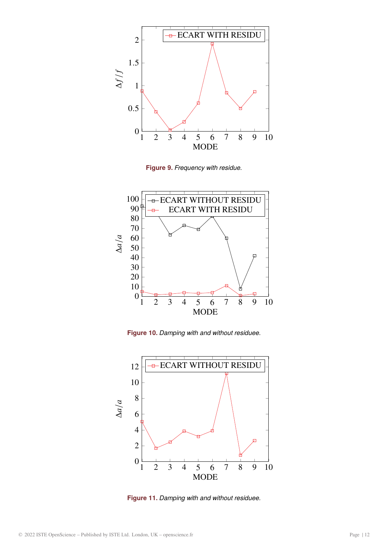

**Figure 9.** *Frequency with residue.*



**Figure 10.** *Damping with and without residuee.*



**Figure 11.** *Damping with and without residuee.*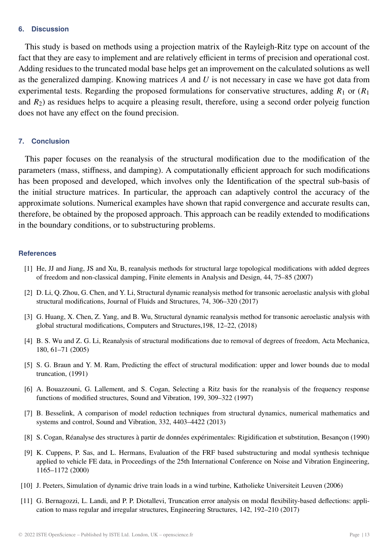#### **6. Discussion**

This study is based on methods using a projection matrix of the Rayleigh-Ritz type on account of the fact that they are easy to implement and are relatively efficient in terms of precision and operational cost. Adding residues to the truncated modal base helps get an improvement on the calculated solutions as well as the generalized damping. Knowing matrices  $A$  and  $U$  is not necessary in case we have got data from experimental tests. Regarding the proposed formulations for conservative structures, adding  $R_1$  or  $(R_1)$ and  $R_2$ ) as residues helps to acquire a pleasing result, therefore, using a second order polyeig function does not have any effect on the found precision.

### **7. Conclusion**

This paper focuses on the reanalysis of the structural modification due to the modification of the parameters (mass, stiffness, and damping). A computationally efficient approach for such modifications has been proposed and developed, which involves only the Identification of the spectral sub-basis of the initial structure matrices. In particular, the approach can adaptively control the accuracy of the approximate solutions. Numerical examples have shown that rapid convergence and accurate results can, therefore, be obtained by the proposed approach. This approach can be readily extended to modifications in the boundary conditions, or to substructuring problems.

#### **References**

- [1] He, JJ and Jiang, JS and Xu, B, reanalysis methods for structural large topological modifications with added degrees of freedom and non-classical damping, Finite elements in Analysis and Design, 44, 75–85 (2007)
- [2] D. Li, Q. Zhou, G. Chen, and Y. Li, Structural dynamic reanalysis method for transonic aeroelastic analysis with global structural modifications, Journal of Fluids and Structures, 74, 306–320 (2017)
- [3] G. Huang, X. Chen, Z. Yang, and B. Wu, Structural dynamic reanalysis method for transonic aeroelastic analysis with global structural modifications, Computers and Structures,198, 12–22, (2018)
- [4] B. S. Wu and Z. G. Li, Reanalysis of structural modifications due to removal of degrees of freedom, Acta Mechanica, 180, 61–71 (2005)
- [5] S. G. Braun and Y. M. Ram, Predicting the effect of structural modification: upper and lower bounds due to modal truncation, (1991)
- [6] A. Bouazzouni, G. Lallement, and S. Cogan, Selecting a Ritz basis for the reanalysis of the frequency response functions of modified structures, Sound and Vibration, 199, 309–322 (1997)
- [7] B. Besselink, A comparison of model reduction techniques from structural dynamics, numerical mathematics and systems and control, Sound and Vibration, 332, 4403–4422 (2013)
- [8] S. Cogan, Réanalyse des structures à partir de données expérimentales: Rigidification et substitution, Besançon (1990)
- [9] K. Cuppens, P. Sas, and L. Hermans, Evaluation of the FRF based substructuring and modal synthesis technique applied to vehicle FE data, in Proceedings of the 25th International Conference on Noise and Vibration Engineering, 1165–1172 (2000)
- [10] J. Peeters, Simulation of dynamic drive train loads in a wind turbine, Katholieke Universiteit Leuven (2006)
- [11] G. Bernagozzi, L. Landi, and P. P. Diotallevi, Truncation error analysis on modal flexibility-based deflections: application to mass regular and irregular structures, Engineering Structures, 142, 192–210 (2017)